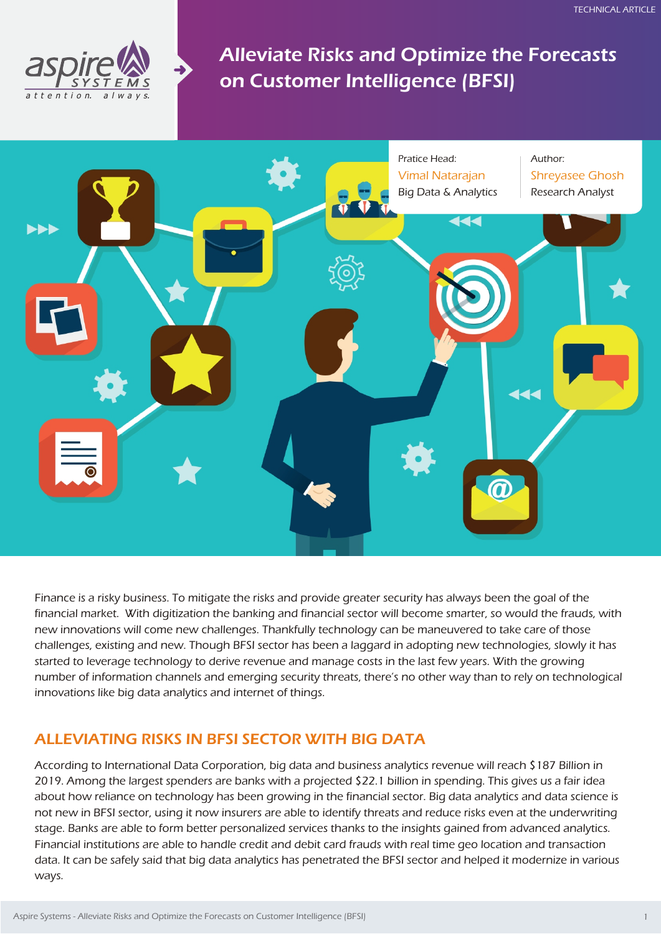

Alleviate Risks and Optimize the Forecasts on Customer Intelligence (BFSI)



Finance is a risky business. To mitigate the risks and provide greater security has always been the goal of the financial market. With digitization the banking and financial sector will become smarter, so would the frauds, with new innovations will come new challenges. Thankfully technology can be maneuvered to take care of those challenges, existing and new. Though BFSI sector has been a laggard in adopting new technologies, slowly it has started to leverage technology to derive revenue and manage costs in the last few years. With the growing number of information channels and emerging security threats, there's no other way than to rely on technological innovations like big data analytics and internet of things.

## ALLEVIATING RISKS IN BFSI SECTOR WITH BIG DATA

According to International Data Corporation, big data and business analytics revenue will reach \$187 Billion in 2019. Among the largest spenders are banks with a projected \$22.1 billion in spending. This gives us a fair idea about how reliance on technology has been growing in the financial sector. Big data analytics and data science is not new in BFSI sector, using it now insurers are able to identify threats and reduce risks even at the underwriting stage. Banks are able to form better personalized services thanks to the insights gained from advanced analytics. Financial institutions are able to handle credit and debit card frauds with real time geo location and transaction data. It can be safely said that big data analytics has penetrated the BFSI sector and helped it modernize in various ways.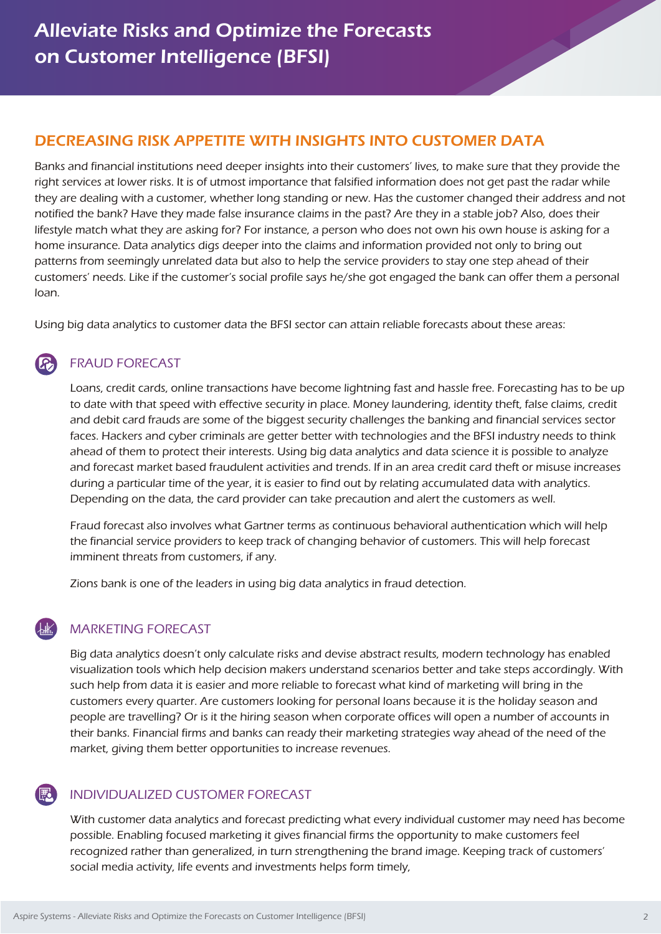# DECREASING RISK APPETITE WITH INSIGHTS INTO CUSTOMER DATA

Banks and financial institutions need deeper insights into their customers' lives, to make sure that they provide the right services at lower risks. It is of utmost importance that falsified information does not get past the radar while they are dealing with a customer, whether long standing or new. Has the customer changed their address and not notified the bank? Have they made false insurance claims in the past? Are they in a stable job? Also, does their lifestyle match what they are asking for? For instance, a person who does not own his own house is asking for a home insurance. Data analytics digs deeper into the claims and information provided not only to bring out patterns from seemingly unrelated data but also to help the service providers to stay one step ahead of their customers' needs. Like if the customer's social profile says he/she got engaged the bank can offer them a personal loan.

Using big data analytics to customer data the BFSI sector can attain reliable forecasts about these areas:

### FRAUD FORECAST

Loans, credit cards, online transactions have become lightning fast and hassle free. Forecasting has to be up to date with that speed with effective security in place. Money laundering, identity theft, false claims, credit and debit card frauds are some of the biggest security challenges the banking and financial services sector faces. Hackers and cyber criminals are getter better with technologies and the BFSI industry needs to think ahead of them to protect their interests. Using big data analytics and data science it is possible to analyze and forecast market based fraudulent activities and trends. If in an area credit card theft or misuse increases during a particular time of the year, it is easier to find out by relating accumulated data with analytics. Depending on the data, the card provider can take precaution and alert the customers as well.

Fraud forecast also involves what Gartner terms as continuous behavioral authentication which will help the financial service providers to keep track of changing behavior of customers. This will help forecast imminent threats from customers, if any.

Zions bank is one of the leaders in using big data analytics in fraud detection.

### MARKETING FORECAST

Big data analytics doesn't only calculate risks and devise abstract results, modern technology has enabled visualization tools which help decision makers understand scenarios better and take steps accordingly. With such help from data it is easier and more reliable to forecast what kind of marketing will bring in the customers every quarter. Are customers looking for personal loans because it is the holiday season and people are travelling? Or is it the hiring season when corporate offices will open a number of accounts in their banks. Financial firms and banks can ready their marketing strategies way ahead of the need of the market, giving them better opportunities to increase revenues.

### INDIVIDUALIZED CUSTOMER FORECAST

With customer data analytics and forecast predicting what every individual customer may need has become possible. Enabling focused marketing it gives financial firms the opportunity to make customers feel recognized rather than generalized, in turn strengthening the brand image. Keeping track of customers' social media activity, life events and investments helps form timely,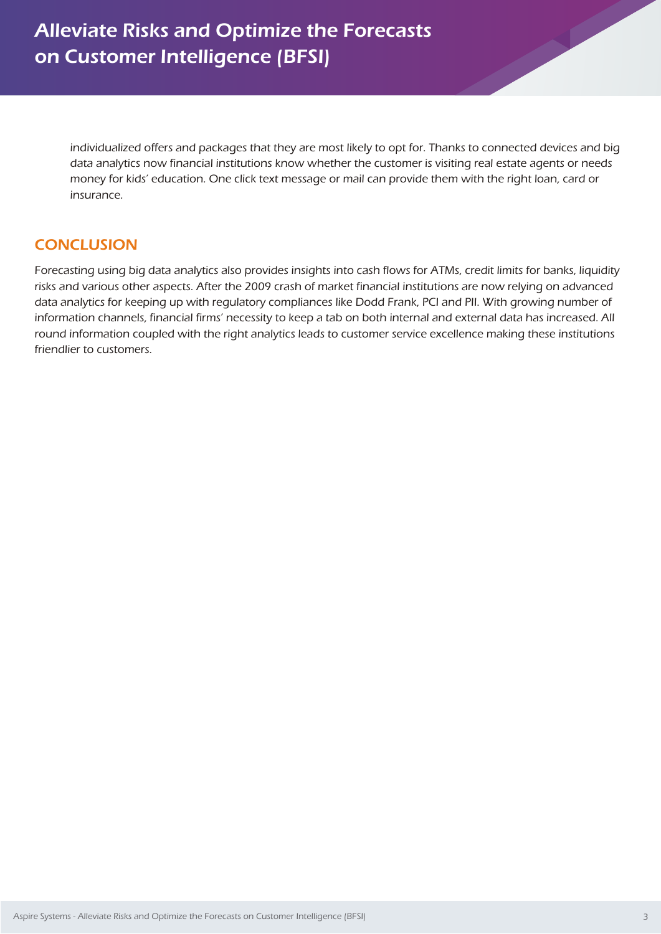individualized offers and packages that they are most likely to opt for. Thanks to connected devices and big data analytics now financial institutions know whether the customer is visiting real estate agents or needs money for kids' education. One click text message or mail can provide them with the right loan, card or insurance.

## **CONCLUSION**

Forecasting using big data analytics also provides insights into cash flows for ATMs, credit limits for banks, liquidity risks and various other aspects. After the 2009 crash of market financial institutions are now relying on advanced data analytics for keeping up with regulatory compliances like Dodd Frank, PCI and PII. With growing number of information channels, financial firms' necessity to keep a tab on both internal and external data has increased. All round information coupled with the right analytics leads to customer service excellence making these institutions friendlier to customers.